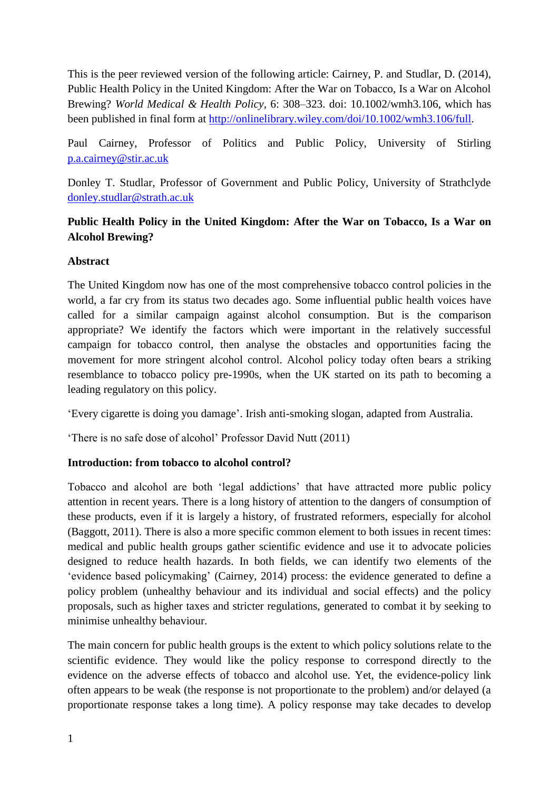This is the peer reviewed version of the following article: Cairney, P. and Studlar, D. (2014), Public Health Policy in the United Kingdom: After the War on Tobacco, Is a War on Alcohol Brewing? *World Medical & Health Policy*, 6: 308–323. doi: 10.1002/wmh3.106, which has been published in final form at [http://onlinelibrary.wiley.com/doi/10.1002/wmh3.106/full.](http://onlinelibrary.wiley.com/doi/10.1002/wmh3.106/full)

Paul Cairney, Professor of Politics and Public Policy, University of Stirling [p.a.cairney@stir.ac.uk](mailto:p.a.cairney@stir.ac.uk) 

Donley T. Studlar, Professor of Government and Public Policy, University of Strathclyde [donley.studlar@strath.ac.uk](mailto:donley.studlar@strath.ac.uk)

# **Public Health Policy in the United Kingdom: After the War on Tobacco, Is a War on Alcohol Brewing?**

### **Abstract**

The United Kingdom now has one of the most comprehensive tobacco control policies in the world, a far cry from its status two decades ago. Some influential public health voices have called for a similar campaign against alcohol consumption. But is the comparison appropriate? We identify the factors which were important in the relatively successful campaign for tobacco control, then analyse the obstacles and opportunities facing the movement for more stringent alcohol control. Alcohol policy today often bears a striking resemblance to tobacco policy pre-1990s, when the UK started on its path to becoming a leading regulatory on this policy.

'Every cigarette is doing you damage'. Irish anti-smoking slogan, adapted from Australia.

'There is no safe dose of alcohol' Professor David Nutt (2011)

## **Introduction: from tobacco to alcohol control?**

Tobacco and alcohol are both 'legal addictions' that have attracted more public policy attention in recent years. There is a long history of attention to the dangers of consumption of these products, even if it is largely a history, of frustrated reformers, especially for alcohol (Baggott, 2011). There is also a more specific common element to both issues in recent times: medical and public health groups gather scientific evidence and use it to advocate policies designed to reduce health hazards. In both fields, we can identify two elements of the 'evidence based policymaking' (Cairney, 2014) process: the evidence generated to define a policy problem (unhealthy behaviour and its individual and social effects) and the policy proposals, such as higher taxes and stricter regulations, generated to combat it by seeking to minimise unhealthy behaviour.

The main concern for public health groups is the extent to which policy solutions relate to the scientific evidence. They would like the policy response to correspond directly to the evidence on the adverse effects of tobacco and alcohol use. Yet, the evidence-policy link often appears to be weak (the response is not proportionate to the problem) and/or delayed (a proportionate response takes a long time). A policy response may take decades to develop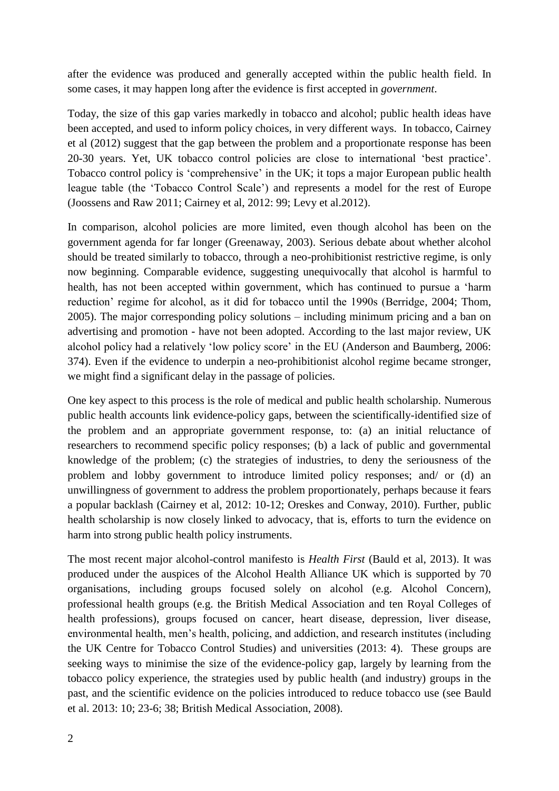after the evidence was produced and generally accepted within the public health field. In some cases, it may happen long after the evidence is first accepted in *government*.

Today, the size of this gap varies markedly in tobacco and alcohol; public health ideas have been accepted, and used to inform policy choices, in very different ways. In tobacco, Cairney et al (2012) suggest that the gap between the problem and a proportionate response has been 20-30 years. Yet, UK tobacco control policies are close to international 'best practice'. Tobacco control policy is 'comprehensive' in the UK; it tops a major European public health league table (the 'Tobacco Control Scale') and represents a model for the rest of Europe (Joossens and Raw 2011; Cairney et al, 2012: 99; Levy et al.2012).

In comparison, alcohol policies are more limited, even though alcohol has been on the government agenda for far longer (Greenaway, 2003). Serious debate about whether alcohol should be treated similarly to tobacco, through a neo-prohibitionist restrictive regime, is only now beginning. Comparable evidence, suggesting unequivocally that alcohol is harmful to health, has not been accepted within government, which has continued to pursue a 'harm reduction' regime for alcohol, as it did for tobacco until the 1990s (Berridge, 2004; Thom, 2005). The major corresponding policy solutions – including minimum pricing and a ban on advertising and promotion - have not been adopted. According to the last major review, UK alcohol policy had a relatively 'low policy score' in the EU (Anderson and Baumberg, 2006: 374). Even if the evidence to underpin a neo-prohibitionist alcohol regime became stronger, we might find a significant delay in the passage of policies.

One key aspect to this process is the role of medical and public health scholarship. Numerous public health accounts link evidence-policy gaps, between the scientifically-identified size of the problem and an appropriate government response, to: (a) an initial reluctance of researchers to recommend specific policy responses; (b) a lack of public and governmental knowledge of the problem; (c) the strategies of industries, to deny the seriousness of the problem and lobby government to introduce limited policy responses; and/ or (d) an unwillingness of government to address the problem proportionately, perhaps because it fears a popular backlash (Cairney et al, 2012: 10-12; Oreskes and Conway, 2010). Further, public health scholarship is now closely linked to advocacy, that is, efforts to turn the evidence on harm into strong public health policy instruments.

The most recent major alcohol-control manifesto is *Health First* (Bauld et al, 2013). It was produced under the auspices of the Alcohol Health Alliance UK which is supported by 70 organisations, including groups focused solely on alcohol (e.g. Alcohol Concern), professional health groups (e.g. the British Medical Association and ten Royal Colleges of health professions), groups focused on cancer, heart disease, depression, liver disease, environmental health, men's health, policing, and addiction, and research institutes (including the UK Centre for Tobacco Control Studies) and universities (2013: 4). These groups are seeking ways to minimise the size of the evidence-policy gap, largely by learning from the tobacco policy experience, the strategies used by public health (and industry) groups in the past, and the scientific evidence on the policies introduced to reduce tobacco use (see Bauld et al. 2013: 10; 23-6; 38; British Medical Association, 2008).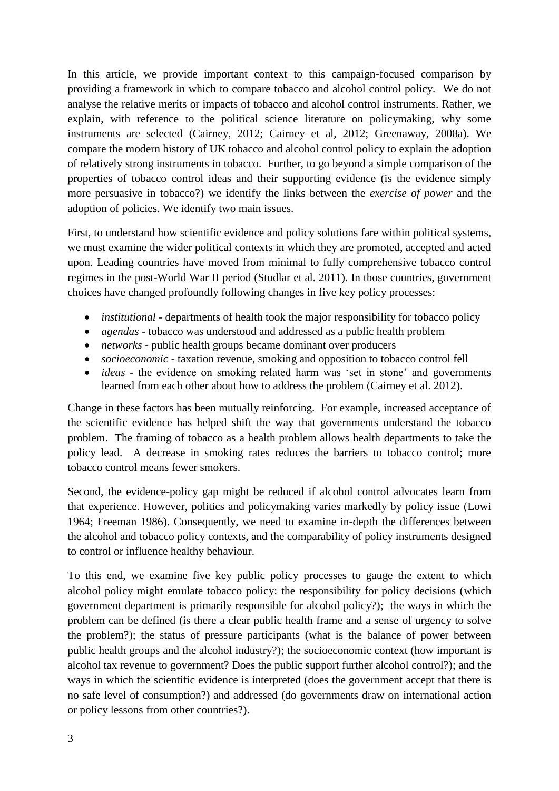In this article, we provide important context to this campaign-focused comparison by providing a framework in which to compare tobacco and alcohol control policy. We do not analyse the relative merits or impacts of tobacco and alcohol control instruments. Rather, we explain, with reference to the political science literature on policymaking, why some instruments are selected (Cairney, 2012; Cairney et al, 2012; Greenaway, 2008a). We compare the modern history of UK tobacco and alcohol control policy to explain the adoption of relatively strong instruments in tobacco. Further, to go beyond a simple comparison of the properties of tobacco control ideas and their supporting evidence (is the evidence simply more persuasive in tobacco?) we identify the links between the *exercise of power* and the adoption of policies. We identify two main issues.

First, to understand how scientific evidence and policy solutions fare within political systems, we must examine the wider political contexts in which they are promoted, accepted and acted upon. Leading countries have moved from minimal to fully comprehensive tobacco control regimes in the post-World War II period (Studlar et al. 2011). In those countries, government choices have changed profoundly following changes in five key policy processes:

- *institutional* departments of health took the major responsibility for tobacco policy
- *agendas* tobacco was understood and addressed as a public health problem
- *networks* public health groups became dominant over producers
- *socioeconomic* taxation revenue, smoking and opposition to tobacco control fell
- *ideas* the evidence on smoking related harm was 'set in stone' and governments learned from each other about how to address the problem (Cairney et al. 2012).

Change in these factors has been mutually reinforcing. For example, increased acceptance of the scientific evidence has helped shift the way that governments understand the tobacco problem. The framing of tobacco as a health problem allows health departments to take the policy lead. A decrease in smoking rates reduces the barriers to tobacco control; more tobacco control means fewer smokers.

Second, the evidence-policy gap might be reduced if alcohol control advocates learn from that experience. However, politics and policymaking varies markedly by policy issue (Lowi 1964; Freeman 1986). Consequently, we need to examine in-depth the differences between the alcohol and tobacco policy contexts, and the comparability of policy instruments designed to control or influence healthy behaviour.

To this end, we examine five key public policy processes to gauge the extent to which alcohol policy might emulate tobacco policy: the responsibility for policy decisions (which government department is primarily responsible for alcohol policy?); the ways in which the problem can be defined (is there a clear public health frame and a sense of urgency to solve the problem?); the status of pressure participants (what is the balance of power between public health groups and the alcohol industry?); the socioeconomic context (how important is alcohol tax revenue to government? Does the public support further alcohol control?); and the ways in which the scientific evidence is interpreted (does the government accept that there is no safe level of consumption?) and addressed (do governments draw on international action or policy lessons from other countries?).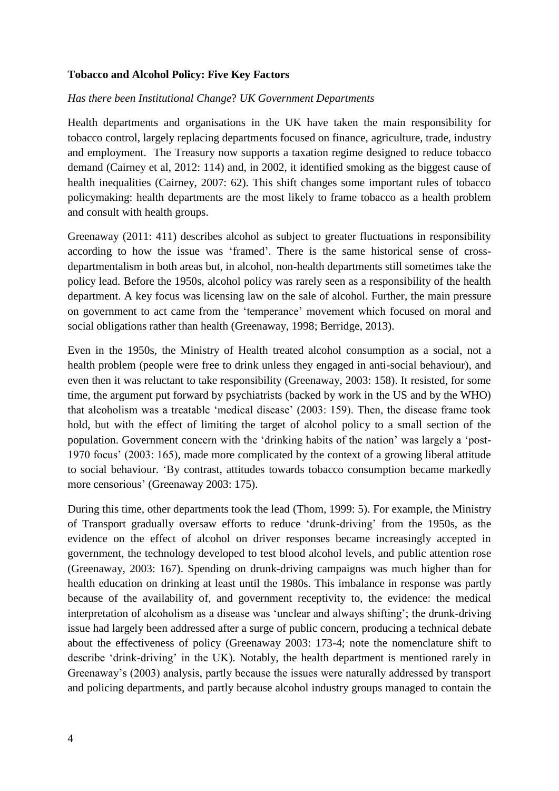#### **Tobacco and Alcohol Policy: Five Key Factors**

#### *Has there been Institutional Change*? *UK Government Departments*

Health departments and organisations in the UK have taken the main responsibility for tobacco control, largely replacing departments focused on finance, agriculture, trade, industry and employment. The Treasury now supports a taxation regime designed to reduce tobacco demand (Cairney et al, 2012: 114) and, in 2002, it identified smoking as the biggest cause of health inequalities (Cairney, 2007: 62). This shift changes some important rules of tobacco policymaking: health departments are the most likely to frame tobacco as a health problem and consult with health groups.

Greenaway (2011: 411) describes alcohol as subject to greater fluctuations in responsibility according to how the issue was 'framed'. There is the same historical sense of crossdepartmentalism in both areas but, in alcohol, non-health departments still sometimes take the policy lead. Before the 1950s, alcohol policy was rarely seen as a responsibility of the health department. A key focus was licensing law on the sale of alcohol. Further, the main pressure on government to act came from the 'temperance' movement which focused on moral and social obligations rather than health (Greenaway, 1998; Berridge, 2013).

Even in the 1950s, the Ministry of Health treated alcohol consumption as a social, not a health problem (people were free to drink unless they engaged in anti-social behaviour), and even then it was reluctant to take responsibility (Greenaway, 2003: 158). It resisted, for some time, the argument put forward by psychiatrists (backed by work in the US and by the WHO) that alcoholism was a treatable 'medical disease' (2003: 159). Then, the disease frame took hold, but with the effect of limiting the target of alcohol policy to a small section of the population. Government concern with the 'drinking habits of the nation' was largely a 'post-1970 focus' (2003: 165), made more complicated by the context of a growing liberal attitude to social behaviour. 'By contrast, attitudes towards tobacco consumption became markedly more censorious' (Greenaway 2003: 175).

During this time, other departments took the lead (Thom, 1999: 5). For example, the Ministry of Transport gradually oversaw efforts to reduce 'drunk-driving' from the 1950s, as the evidence on the effect of alcohol on driver responses became increasingly accepted in government, the technology developed to test blood alcohol levels, and public attention rose (Greenaway, 2003: 167). Spending on drunk-driving campaigns was much higher than for health education on drinking at least until the 1980s. This imbalance in response was partly because of the availability of, and government receptivity to, the evidence: the medical interpretation of alcoholism as a disease was 'unclear and always shifting'; the drunk-driving issue had largely been addressed after a surge of public concern, producing a technical debate about the effectiveness of policy (Greenaway 2003: 173-4; note the nomenclature shift to describe 'drink-driving' in the UK). Notably, the health department is mentioned rarely in Greenaway's (2003) analysis, partly because the issues were naturally addressed by transport and policing departments, and partly because alcohol industry groups managed to contain the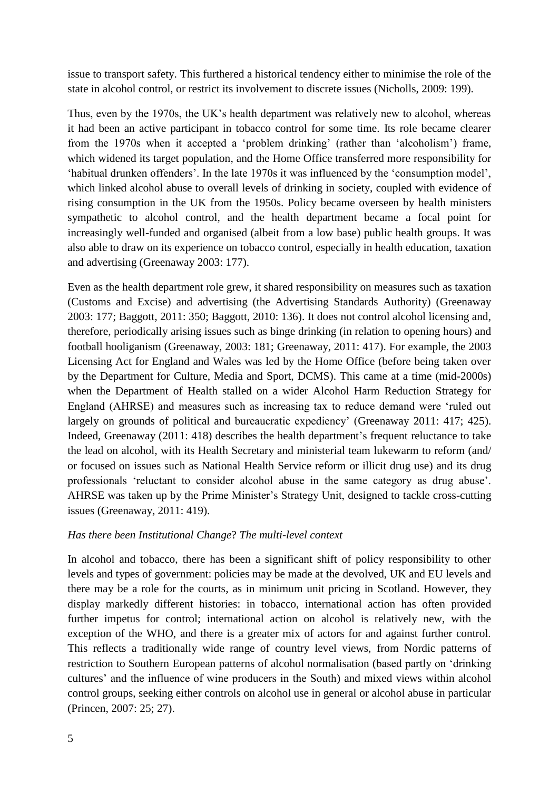issue to transport safety. This furthered a historical tendency either to minimise the role of the state in alcohol control, or restrict its involvement to discrete issues (Nicholls, 2009: 199).

Thus, even by the 1970s, the UK's health department was relatively new to alcohol, whereas it had been an active participant in tobacco control for some time. Its role became clearer from the 1970s when it accepted a 'problem drinking' (rather than 'alcoholism') frame, which widened its target population, and the Home Office transferred more responsibility for 'habitual drunken offenders'. In the late 1970s it was influenced by the 'consumption model', which linked alcohol abuse to overall levels of drinking in society, coupled with evidence of rising consumption in the UK from the 1950s. Policy became overseen by health ministers sympathetic to alcohol control, and the health department became a focal point for increasingly well-funded and organised (albeit from a low base) public health groups. It was also able to draw on its experience on tobacco control, especially in health education, taxation and advertising (Greenaway 2003: 177).

Even as the health department role grew, it shared responsibility on measures such as taxation (Customs and Excise) and advertising (the Advertising Standards Authority) (Greenaway 2003: 177; Baggott, 2011: 350; Baggott, 2010: 136). It does not control alcohol licensing and, therefore, periodically arising issues such as binge drinking (in relation to opening hours) and football hooliganism (Greenaway, 2003: 181; Greenaway, 2011: 417). For example, the 2003 Licensing Act for England and Wales was led by the Home Office (before being taken over by the Department for Culture, Media and Sport, DCMS). This came at a time (mid-2000s) when the Department of Health stalled on a wider Alcohol Harm Reduction Strategy for England (AHRSE) and measures such as increasing tax to reduce demand were 'ruled out largely on grounds of political and bureaucratic expediency' (Greenaway 2011: 417; 425). Indeed, Greenaway (2011: 418) describes the health department's frequent reluctance to take the lead on alcohol, with its Health Secretary and ministerial team lukewarm to reform (and/ or focused on issues such as National Health Service reform or illicit drug use) and its drug professionals 'reluctant to consider alcohol abuse in the same category as drug abuse'. AHRSE was taken up by the Prime Minister's Strategy Unit, designed to tackle cross-cutting issues (Greenaway, 2011: 419).

#### *Has there been Institutional Change*? *The multi-level context*

In alcohol and tobacco, there has been a significant shift of policy responsibility to other levels and types of government: policies may be made at the devolved, UK and EU levels and there may be a role for the courts, as in minimum unit pricing in Scotland. However, they display markedly different histories: in tobacco, international action has often provided further impetus for control; international action on alcohol is relatively new, with the exception of the WHO, and there is a greater mix of actors for and against further control. This reflects a traditionally wide range of country level views, from Nordic patterns of restriction to Southern European patterns of alcohol normalisation (based partly on 'drinking cultures' and the influence of wine producers in the South) and mixed views within alcohol control groups, seeking either controls on alcohol use in general or alcohol abuse in particular (Princen, 2007: 25; 27).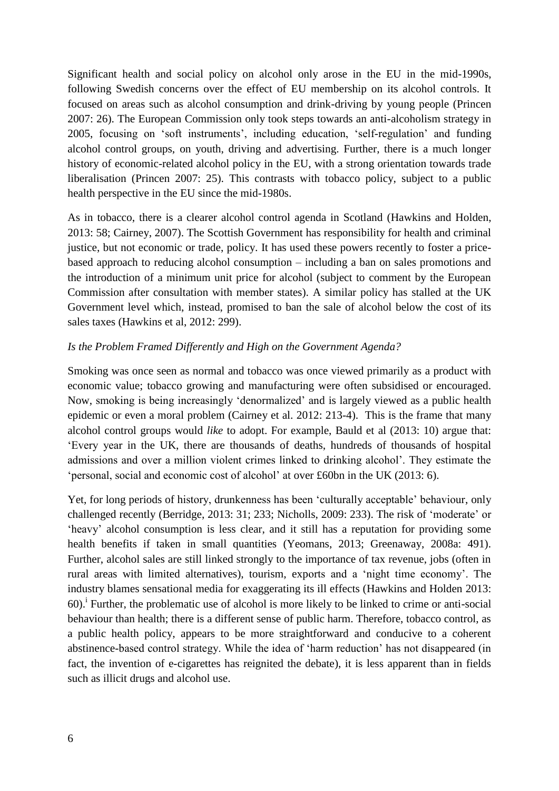Significant health and social policy on alcohol only arose in the EU in the mid-1990s, following Swedish concerns over the effect of EU membership on its alcohol controls. It focused on areas such as alcohol consumption and drink-driving by young people (Princen 2007: 26). The European Commission only took steps towards an anti-alcoholism strategy in 2005, focusing on 'soft instruments', including education, 'self-regulation' and funding alcohol control groups, on youth, driving and advertising. Further, there is a much longer history of economic-related alcohol policy in the EU, with a strong orientation towards trade liberalisation (Princen 2007: 25). This contrasts with tobacco policy, subject to a public health perspective in the EU since the mid-1980s.

As in tobacco, there is a clearer alcohol control agenda in Scotland (Hawkins and Holden, 2013: 58; Cairney, 2007). The Scottish Government has responsibility for health and criminal justice, but not economic or trade, policy. It has used these powers recently to foster a pricebased approach to reducing alcohol consumption – including a ban on sales promotions and the introduction of a minimum unit price for alcohol (subject to comment by the European Commission after consultation with member states). A similar policy has stalled at the UK Government level which, instead, promised to ban the sale of alcohol below the cost of its sales taxes (Hawkins et al, 2012: 299).

#### *Is the Problem Framed Differently and High on the Government Agenda?*

Smoking was once seen as normal and tobacco was once viewed primarily as a product with economic value; tobacco growing and manufacturing were often subsidised or encouraged. Now, smoking is being increasingly 'denormalized' and is largely viewed as a public health epidemic or even a moral problem (Cairney et al. 2012: 213-4). This is the frame that many alcohol control groups would *like* to adopt. For example, Bauld et al (2013: 10) argue that: 'Every year in the UK, there are thousands of deaths, hundreds of thousands of hospital admissions and over a million violent crimes linked to drinking alcohol'. They estimate the 'personal, social and economic cost of alcohol' at over £60bn in the UK (2013: 6).

Yet, for long periods of history, drunkenness has been 'culturally acceptable' behaviour, only challenged recently (Berridge, 2013: 31; 233; Nicholls, 2009: 233). The risk of 'moderate' or 'heavy' alcohol consumption is less clear, and it still has a reputation for providing some health benefits if taken in small quantities (Yeomans, 2013; Greenaway, 2008a: 491). Further, alcohol sales are still linked strongly to the importance of tax revenue, jobs (often in rural areas with limited alternatives), tourism, exports and a 'night time economy'. The industry blames sensational media for exaggerating its ill effects (Hawkins and Holden 2013: 60).<sup>i</sup> Further, the problematic use of alcohol is more likely to be linked to crime or anti-social behaviour than health; there is a different sense of public harm. Therefore, tobacco control, as a public health policy, appears to be more straightforward and conducive to a coherent abstinence-based control strategy. While the idea of 'harm reduction' has not disappeared (in fact, the invention of e-cigarettes has reignited the debate), it is less apparent than in fields such as illicit drugs and alcohol use.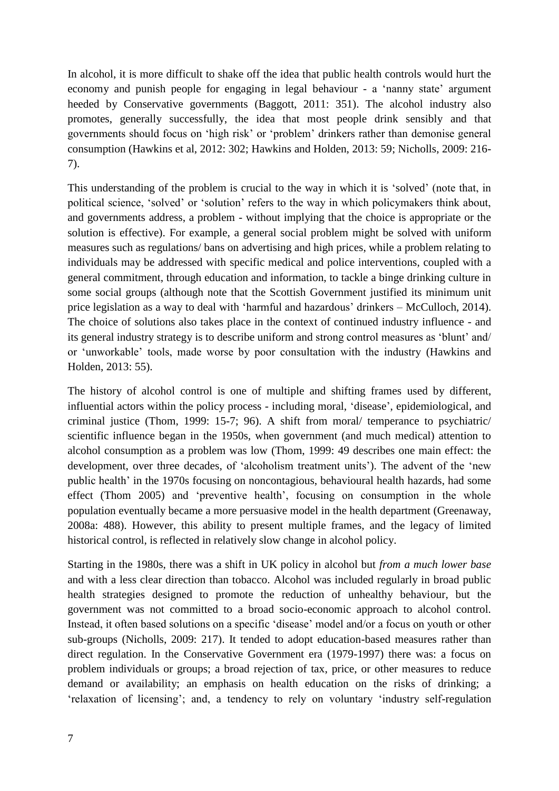In alcohol, it is more difficult to shake off the idea that public health controls would hurt the economy and punish people for engaging in legal behaviour - a 'nanny state' argument heeded by Conservative governments (Baggott, 2011: 351). The alcohol industry also promotes, generally successfully, the idea that most people drink sensibly and that governments should focus on 'high risk' or 'problem' drinkers rather than demonise general consumption (Hawkins et al, 2012: 302; Hawkins and Holden, 2013: 59; Nicholls, 2009: 216- 7).

This understanding of the problem is crucial to the way in which it is 'solved' (note that, in political science, 'solved' or 'solution' refers to the way in which policymakers think about, and governments address, a problem - without implying that the choice is appropriate or the solution is effective). For example, a general social problem might be solved with uniform measures such as regulations/ bans on advertising and high prices, while a problem relating to individuals may be addressed with specific medical and police interventions, coupled with a general commitment, through education and information, to tackle a binge drinking culture in some social groups (although note that the Scottish Government justified its minimum unit price legislation as a way to deal with 'harmful and hazardous' drinkers – McCulloch, 2014). The choice of solutions also takes place in the context of continued industry influence - and its general industry strategy is to describe uniform and strong control measures as 'blunt' and/ or 'unworkable' tools, made worse by poor consultation with the industry (Hawkins and Holden, 2013: 55).

The history of alcohol control is one of multiple and shifting frames used by different, influential actors within the policy process - including moral, 'disease', epidemiological, and criminal justice (Thom, 1999: 15-7; 96). A shift from moral/ temperance to psychiatric/ scientific influence began in the 1950s, when government (and much medical) attention to alcohol consumption as a problem was low (Thom, 1999: 49 describes one main effect: the development, over three decades, of 'alcoholism treatment units'). The advent of the 'new public health' in the 1970s focusing on noncontagious, behavioural health hazards, had some effect (Thom 2005) and 'preventive health', focusing on consumption in the whole population eventually became a more persuasive model in the health department (Greenaway, 2008a: 488). However, this ability to present multiple frames, and the legacy of limited historical control, is reflected in relatively slow change in alcohol policy.

Starting in the 1980s, there was a shift in UK policy in alcohol but *from a much lower base* and with a less clear direction than tobacco. Alcohol was included regularly in broad public health strategies designed to promote the reduction of unhealthy behaviour, but the government was not committed to a broad socio-economic approach to alcohol control. Instead, it often based solutions on a specific 'disease' model and/or a focus on youth or other sub-groups (Nicholls, 2009: 217). It tended to adopt education-based measures rather than direct regulation. In the Conservative Government era (1979-1997) there was: a focus on problem individuals or groups; a broad rejection of tax, price, or other measures to reduce demand or availability; an emphasis on health education on the risks of drinking; a 'relaxation of licensing'; and, a tendency to rely on voluntary 'industry self-regulation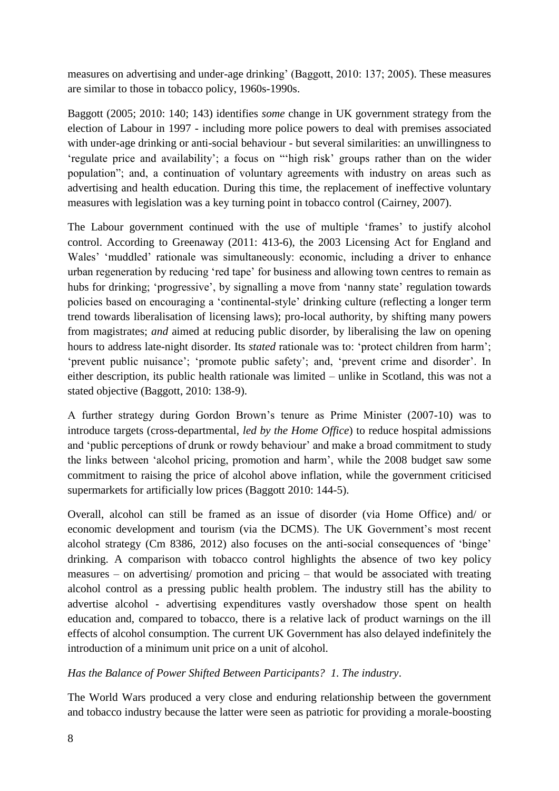measures on advertising and under-age drinking' (Baggott, 2010: 137; 2005). These measures are similar to those in tobacco policy, 1960s-1990s.

Baggott (2005; 2010: 140; 143) identifies *some* change in UK government strategy from the election of Labour in 1997 - including more police powers to deal with premises associated with under-age drinking or anti-social behaviour - but several similarities: an unwillingness to 'regulate price and availability'; a focus on "'high risk' groups rather than on the wider population"; and, a continuation of voluntary agreements with industry on areas such as advertising and health education. During this time, the replacement of ineffective voluntary measures with legislation was a key turning point in tobacco control (Cairney, 2007).

The Labour government continued with the use of multiple 'frames' to justify alcohol control. According to Greenaway (2011: 413-6), the 2003 Licensing Act for England and Wales' 'muddled' rationale was simultaneously: economic, including a driver to enhance urban regeneration by reducing 'red tape' for business and allowing town centres to remain as hubs for drinking; 'progressive', by signalling a move from 'nanny state' regulation towards policies based on encouraging a 'continental-style' drinking culture (reflecting a longer term trend towards liberalisation of licensing laws); pro-local authority, by shifting many powers from magistrates; *and* aimed at reducing public disorder, by liberalising the law on opening hours to address late-night disorder. Its *stated* rationale was to: 'protect children from harm'; 'prevent public nuisance'; 'promote public safety'; and, 'prevent crime and disorder'. In either description, its public health rationale was limited – unlike in Scotland, this was not a stated objective (Baggott, 2010: 138-9).

A further strategy during Gordon Brown's tenure as Prime Minister (2007-10) was to introduce targets (cross-departmental, *led by the Home Office*) to reduce hospital admissions and 'public perceptions of drunk or rowdy behaviour' and make a broad commitment to study the links between 'alcohol pricing, promotion and harm', while the 2008 budget saw some commitment to raising the price of alcohol above inflation, while the government criticised supermarkets for artificially low prices (Baggott 2010: 144-5).

Overall, alcohol can still be framed as an issue of disorder (via Home Office) and/ or economic development and tourism (via the DCMS). The UK Government's most recent alcohol strategy (Cm 8386, 2012) also focuses on the anti-social consequences of 'binge' drinking. A comparison with tobacco control highlights the absence of two key policy measures – on advertising/ promotion and pricing – that would be associated with treating alcohol control as a pressing public health problem. The industry still has the ability to advertise alcohol - advertising expenditures vastly overshadow those spent on health education and, compared to tobacco, there is a relative lack of product warnings on the ill effects of alcohol consumption. The current UK Government has also delayed indefinitely the introduction of a minimum unit price on a unit of alcohol.

### *Has the Balance of Power Shifted Between Participants? 1. The industry*.

The World Wars produced a very close and enduring relationship between the government and tobacco industry because the latter were seen as patriotic for providing a morale-boosting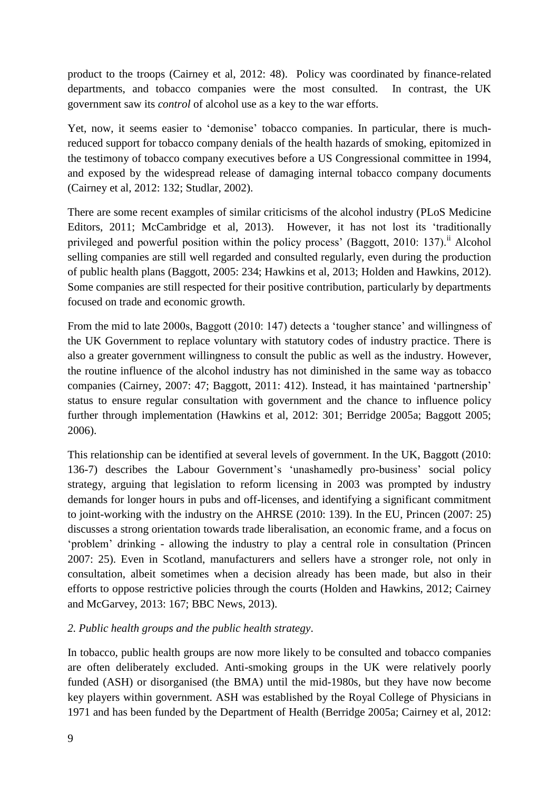product to the troops (Cairney et al, 2012: 48). Policy was coordinated by finance-related departments, and tobacco companies were the most consulted. In contrast, the UK government saw its *control* of alcohol use as a key to the war efforts.

Yet, now, it seems easier to 'demonise' tobacco companies. In particular, there is muchreduced support for tobacco company denials of the health hazards of smoking, epitomized in the testimony of tobacco company executives before a US Congressional committee in 1994, and exposed by the widespread release of damaging internal tobacco company documents (Cairney et al, 2012: 132; Studlar, 2002).

There are some recent examples of similar criticisms of the alcohol industry (PLoS Medicine Editors, 2011; McCambridge et al, 2013). However, it has not lost its 'traditionally privileged and powerful position within the policy process' (Baggott, 2010: 137).<sup>ii</sup> Alcohol selling companies are still well regarded and consulted regularly, even during the production of public health plans (Baggott, 2005: 234; Hawkins et al, 2013; Holden and Hawkins, 2012). Some companies are still respected for their positive contribution, particularly by departments focused on trade and economic growth.

From the mid to late 2000s, Baggott (2010: 147) detects a 'tougher stance' and willingness of the UK Government to replace voluntary with statutory codes of industry practice. There is also a greater government willingness to consult the public as well as the industry. However, the routine influence of the alcohol industry has not diminished in the same way as tobacco companies (Cairney, 2007: 47; Baggott, 2011: 412). Instead, it has maintained 'partnership' status to ensure regular consultation with government and the chance to influence policy further through implementation (Hawkins et al, 2012: 301; Berridge 2005a; Baggott 2005; 2006).

This relationship can be identified at several levels of government. In the UK, Baggott (2010: 136-7) describes the Labour Government's 'unashamedly pro-business' social policy strategy, arguing that legislation to reform licensing in 2003 was prompted by industry demands for longer hours in pubs and off-licenses, and identifying a significant commitment to joint-working with the industry on the AHRSE (2010: 139). In the EU, Princen (2007: 25) discusses a strong orientation towards trade liberalisation, an economic frame, and a focus on 'problem' drinking - allowing the industry to play a central role in consultation (Princen 2007: 25). Even in Scotland, manufacturers and sellers have a stronger role, not only in consultation, albeit sometimes when a decision already has been made, but also in their efforts to oppose restrictive policies through the courts (Holden and Hawkins, 2012; Cairney and McGarvey, 2013: 167; BBC News, 2013).

### *2. Public health groups and the public health strategy*.

In tobacco, public health groups are now more likely to be consulted and tobacco companies are often deliberately excluded. Anti-smoking groups in the UK were relatively poorly funded (ASH) or disorganised (the BMA) until the mid-1980s, but they have now become key players within government. ASH was established by the Royal College of Physicians in 1971 and has been funded by the Department of Health (Berridge 2005a; Cairney et al, 2012: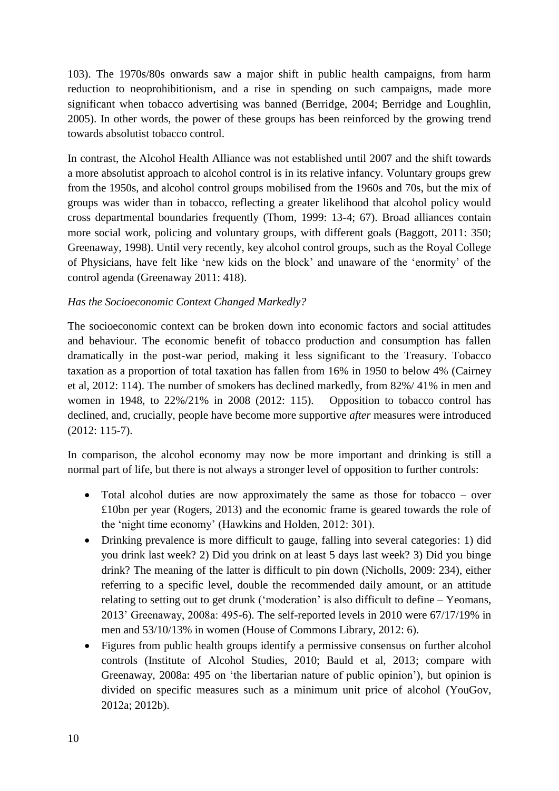103). The 1970s/80s onwards saw a major shift in public health campaigns, from harm reduction to neoprohibitionism, and a rise in spending on such campaigns, made more significant when tobacco advertising was banned (Berridge, 2004; Berridge and Loughlin, 2005). In other words, the power of these groups has been reinforced by the growing trend towards absolutist tobacco control.

In contrast, the Alcohol Health Alliance was not established until 2007 and the shift towards a more absolutist approach to alcohol control is in its relative infancy. Voluntary groups grew from the 1950s, and alcohol control groups mobilised from the 1960s and 70s, but the mix of groups was wider than in tobacco, reflecting a greater likelihood that alcohol policy would cross departmental boundaries frequently (Thom, 1999: 13-4; 67). Broad alliances contain more social work, policing and voluntary groups, with different goals (Baggott, 2011: 350; Greenaway, 1998). Until very recently, key alcohol control groups, such as the Royal College of Physicians, have felt like 'new kids on the block' and unaware of the 'enormity' of the control agenda (Greenaway 2011: 418).

### *Has the Socioeconomic Context Changed Markedly?*

The socioeconomic context can be broken down into economic factors and social attitudes and behaviour. The economic benefit of tobacco production and consumption has fallen dramatically in the post-war period, making it less significant to the Treasury. Tobacco taxation as a proportion of total taxation has fallen from 16% in 1950 to below 4% (Cairney et al, 2012: 114). The number of smokers has declined markedly, from 82%/ 41% in men and women in 1948, to 22%/21% in 2008 (2012: 115). Opposition to tobacco control has declined, and, crucially, people have become more supportive *after* measures were introduced (2012: 115-7).

In comparison, the alcohol economy may now be more important and drinking is still a normal part of life, but there is not always a stronger level of opposition to further controls:

- Total alcohol duties are now approximately the same as those for tobacco over £10bn per year (Rogers, 2013) and the economic frame is geared towards the role of the 'night time economy' (Hawkins and Holden, 2012: 301).
- Drinking prevalence is more difficult to gauge, falling into several categories: 1) did you drink last week? 2) Did you drink on at least 5 days last week? 3) Did you binge drink? The meaning of the latter is difficult to pin down (Nicholls, 2009: 234), either referring to a specific level, double the recommended daily amount, or an attitude relating to setting out to get drunk ('moderation' is also difficult to define – Yeomans, 2013' Greenaway, 2008a: 495-6). The self-reported levels in 2010 were 67/17/19% in men and 53/10/13% in women (House of Commons Library, 2012: 6).
- Figures from public health groups identify a permissive consensus on further alcohol controls (Institute of Alcohol Studies, 2010; Bauld et al, 2013; compare with Greenaway, 2008a: 495 on 'the libertarian nature of public opinion'), but opinion is divided on specific measures such as a minimum unit price of alcohol (YouGov, 2012a; 2012b).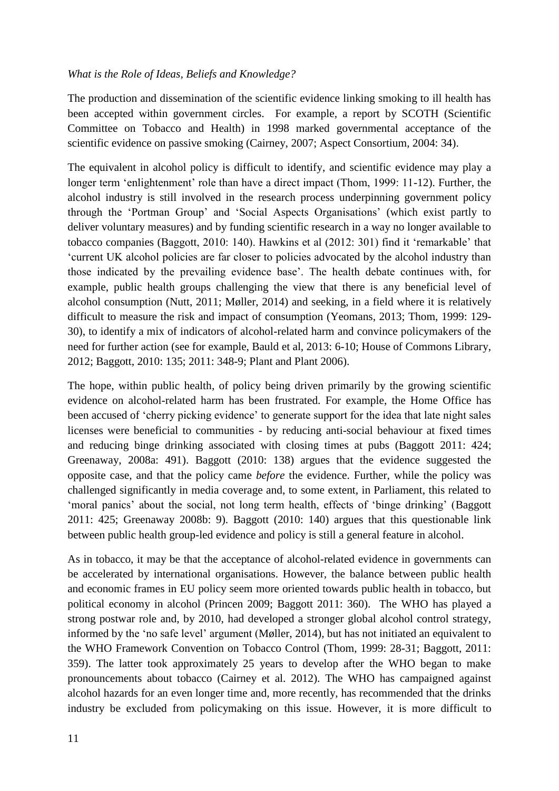#### *What is the Role of Ideas, Beliefs and Knowledge?*

The production and dissemination of the scientific evidence linking smoking to ill health has been accepted within government circles. For example, a report by SCOTH (Scientific Committee on Tobacco and Health) in 1998 marked governmental acceptance of the scientific evidence on passive smoking (Cairney, 2007; Aspect Consortium, 2004: 34).

The equivalent in alcohol policy is difficult to identify, and scientific evidence may play a longer term 'enlightenment' role than have a direct impact (Thom, 1999: 11-12). Further, the alcohol industry is still involved in the research process underpinning government policy through the 'Portman Group' and 'Social Aspects Organisations' (which exist partly to deliver voluntary measures) and by funding scientific research in a way no longer available to tobacco companies (Baggott, 2010: 140). Hawkins et al (2012: 301) find it 'remarkable' that 'current UK alcohol policies are far closer to policies advocated by the alcohol industry than those indicated by the prevailing evidence base'. The health debate continues with, for example, public health groups challenging the view that there is any beneficial level of alcohol consumption (Nutt, 2011; Møller, 2014) and seeking, in a field where it is relatively difficult to measure the risk and impact of consumption (Yeomans, 2013; Thom, 1999: 129- 30), to identify a mix of indicators of alcohol-related harm and convince policymakers of the need for further action (see for example, Bauld et al, 2013: 6-10; House of Commons Library, 2012; Baggott, 2010: 135; 2011: 348-9; Plant and Plant 2006).

The hope, within public health, of policy being driven primarily by the growing scientific evidence on alcohol-related harm has been frustrated. For example, the Home Office has been accused of 'cherry picking evidence' to generate support for the idea that late night sales licenses were beneficial to communities - by reducing anti-social behaviour at fixed times and reducing binge drinking associated with closing times at pubs (Baggott 2011: 424; Greenaway, 2008a: 491). Baggott (2010: 138) argues that the evidence suggested the opposite case, and that the policy came *before* the evidence. Further, while the policy was challenged significantly in media coverage and, to some extent, in Parliament, this related to 'moral panics' about the social, not long term health, effects of 'binge drinking' (Baggott 2011: 425; Greenaway 2008b: 9). Baggott (2010: 140) argues that this questionable link between public health group-led evidence and policy is still a general feature in alcohol.

As in tobacco, it may be that the acceptance of alcohol-related evidence in governments can be accelerated by international organisations. However, the balance between public health and economic frames in EU policy seem more oriented towards public health in tobacco, but political economy in alcohol (Princen 2009; Baggott 2011: 360). The WHO has played a strong postwar role and, by 2010, had developed a stronger global alcohol control strategy, informed by the 'no safe level' argument (Møller, 2014), but has not initiated an equivalent to the WHO Framework Convention on Tobacco Control (Thom, 1999: 28-31; Baggott, 2011: 359). The latter took approximately 25 years to develop after the WHO began to make pronouncements about tobacco (Cairney et al. 2012). The WHO has campaigned against alcohol hazards for an even longer time and, more recently, has recommended that the drinks industry be excluded from policymaking on this issue. However, it is more difficult to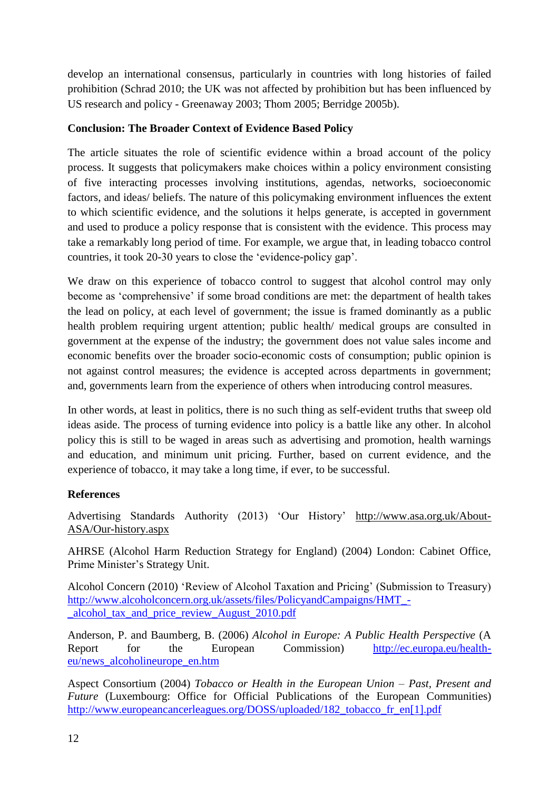develop an international consensus, particularly in countries with long histories of failed prohibition (Schrad 2010; the UK was not affected by prohibition but has been influenced by US research and policy - Greenaway 2003; Thom 2005; Berridge 2005b).

# **Conclusion: The Broader Context of Evidence Based Policy**

The article situates the role of scientific evidence within a broad account of the policy process. It suggests that policymakers make choices within a policy environment consisting of five interacting processes involving institutions, agendas, networks, socioeconomic factors, and ideas/ beliefs. The nature of this policymaking environment influences the extent to which scientific evidence, and the solutions it helps generate, is accepted in government and used to produce a policy response that is consistent with the evidence. This process may take a remarkably long period of time. For example, we argue that, in leading tobacco control countries, it took 20-30 years to close the 'evidence-policy gap'.

We draw on this experience of tobacco control to suggest that alcohol control may only become as 'comprehensive' if some broad conditions are met: the department of health takes the lead on policy, at each level of government; the issue is framed dominantly as a public health problem requiring urgent attention; public health/ medical groups are consulted in government at the expense of the industry; the government does not value sales income and economic benefits over the broader socio-economic costs of consumption; public opinion is not against control measures; the evidence is accepted across departments in government; and, governments learn from the experience of others when introducing control measures.

In other words, at least in politics, there is no such thing as self-evident truths that sweep old ideas aside. The process of turning evidence into policy is a battle like any other. In alcohol policy this is still to be waged in areas such as advertising and promotion, health warnings and education, and minimum unit pricing. Further, based on current evidence, and the experience of tobacco, it may take a long time, if ever, to be successful.

## **References**

Advertising Standards Authority (2013) 'Our History' [http://www.asa.org.uk/About-](http://www.asa.org.uk/About-ASA/Our-history.aspx)[ASA/Our-history.aspx](http://www.asa.org.uk/About-ASA/Our-history.aspx)

AHRSE (Alcohol Harm Reduction Strategy for England) (2004) London: Cabinet Office, Prime Minister's Strategy Unit.

Alcohol Concern (2010) 'Review of Alcohol Taxation and Pricing' (Submission to Treasury) [http://www.alcoholconcern.org.uk/assets/files/PolicyandCampaigns/HMT\\_-](http://www.alcoholconcern.org.uk/assets/files/PolicyandCampaigns/HMT_-_alcohol_tax_and_price_review_August_2010.pdf) [\\_alcohol\\_tax\\_and\\_price\\_review\\_August\\_2010.pdf](http://www.alcoholconcern.org.uk/assets/files/PolicyandCampaigns/HMT_-_alcohol_tax_and_price_review_August_2010.pdf)

Anderson, P. and Baumberg, B. (2006) *Alcohol in Europe: A Public Health Perspective* (A Report for the European Commission) [http://ec.europa.eu/health](http://ec.europa.eu/health-eu/news_alcoholineurope_en.htm)[eu/news\\_alcoholineurope\\_en.htm](http://ec.europa.eu/health-eu/news_alcoholineurope_en.htm)

Aspect Consortium (2004) *Tobacco or Health in the European Union – Past, Present and Future* (Luxembourg: Office for Official Publications of the European Communities) [http://www.europeancancerleagues.org/DOSS/uploaded/182\\_tobacco\\_fr\\_en\[1\].pdf](http://www.europeancancerleagues.org/DOSS/uploaded/182_tobacco_fr_en%5b1%5d.pdf)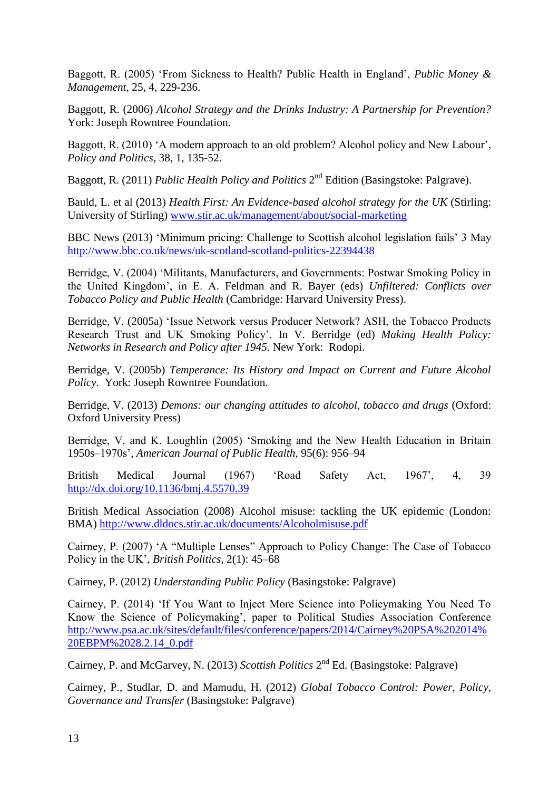Baggott, R. (2005) 'From Sickness to Health? Public Health in England', *Public Money & Management*, 25, 4, 229-236.

Baggott, R. (2006) *Alcohol Strategy and the Drinks Industry: A Partnership for Prevention?* York: Joseph Rowntree Foundation.

Baggott, R. (2010) 'A modern approach to an old problem? Alcohol policy and New Labour', *Policy and Politics*, 38, 1, 135-52.

Baggott, R. (2011) *Public Health Policy and Politics* 2<sup>nd</sup> Edition (Basingstoke: Palgrave).

Bauld, L. et al (2013) *Health First: An Evidence-based alcohol strategy for the UK* (Stirling: University of Stirling) [www.stir.ac.uk/management/about/social-marketing](http://www.stir.ac.uk/management/about/social-marketing)

BBC News (2013) 'Minimum pricing: Challenge to Scottish alcohol legislation fails' 3 May <http://www.bbc.co.uk/news/uk-scotland-scotland-politics-22394438>

Berridge, V. (2004) 'Militants, Manufacturers, and Governments: Postwar Smoking Policy in the United Kingdom', in E. A. Feldman and R. Bayer (eds) *Unfiltered: Conflicts over Tobacco Policy and Public Health* (Cambridge: Harvard University Press).

Berridge, V. (2005a) 'Issue Network versus Producer Network? ASH, the Tobacco Products Research Trust and UK Smoking Policy'. In V. Berridge (ed) *Making Health Policy: Networks in Research and Policy after 1945.* New York: Rodopi.

Berridge, V. (2005b) *Temperance: Its History and Impact on Current and Future Alcohol Policy.* York: Joseph Rowntree Foundation.

Berridge, V. (2013) *Demons: our changing attitudes to alcohol, tobacco and drugs* (Oxford: Oxford University Press)

Berridge, V. and K. Loughlin (2005) 'Smoking and the New Health Education in Britain 1950s–1970s', *American Journal of Public Health*, 95(6): 956–94

British Medical Journal (1967) 'Road Safety Act, 1967', 4, 39 <http://dx.doi.org/10.1136/bmj.4.5570.39>

British Medical Association (2008) Alcohol misuse: tackling the UK epidemic (London: BMA)<http://www.dldocs.stir.ac.uk/documents/Alcoholmisuse.pdf>

Cairney, P. (2007) 'A "Multiple Lenses" Approach to Policy Change: The Case of Tobacco Policy in the UK', *British Politics*, 2(1): 45–68

Cairney, P. (2012) *Understanding Public Policy* (Basingstoke: Palgrave)

Cairney, P. (2014) 'If You Want to Inject More Science into Policymaking You Need To Know the Science of Policymaking', paper to Political Studies Association Conference [http://www.psa.ac.uk/sites/default/files/conference/papers/2014/Cairney%20PSA%202014%](http://www.psa.ac.uk/sites/default/files/conference/papers/2014/Cairney%20PSA%202014%20EBPM%2028.2.14_0.pdf) [20EBPM%2028.2.14\\_0.pdf](http://www.psa.ac.uk/sites/default/files/conference/papers/2014/Cairney%20PSA%202014%20EBPM%2028.2.14_0.pdf)

Cairney, P. and McGarvey, N. (2013) *Scottish Politics* 2<sup>nd</sup> Ed. (Basingstoke: Palgrave)

Cairney, P., Studlar, D. and Mamudu, H. (2012) *Global Tobacco Control: Power, Policy, Governance and Transfer* (Basingstoke: Palgrave)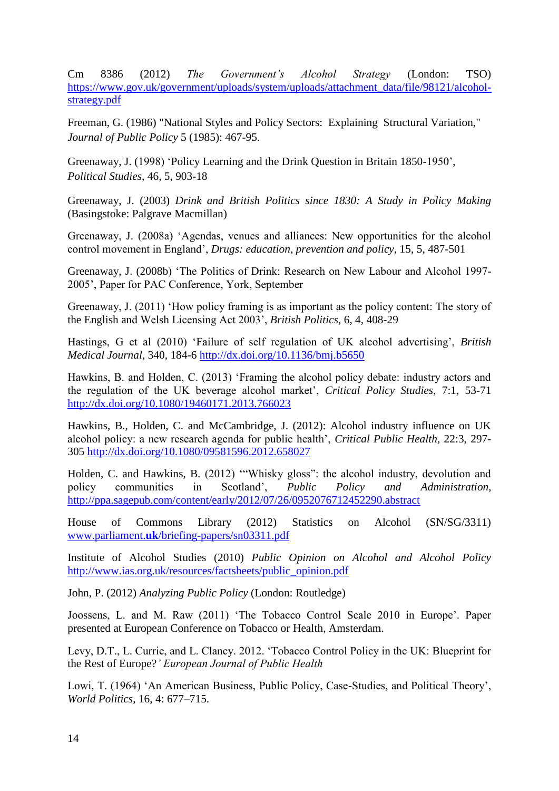Cm 8386 (2012) *The Government's Alcohol Strategy* (London: TSO) [https://www.gov.uk/government/uploads/system/uploads/attachment\\_data/file/98121/alcohol](https://www.gov.uk/government/uploads/system/uploads/attachment_data/file/98121/alcohol-strategy.pdf)[strategy.pdf](https://www.gov.uk/government/uploads/system/uploads/attachment_data/file/98121/alcohol-strategy.pdf)

Freeman, G. (1986) "National Styles and Policy Sectors: Explaining Structural Variation," *Journal of Public Policy* 5 (1985): 467-95.

Greenaway, J. (1998) 'Policy Learning and the Drink Question in Britain 1850-1950', *Political Studies*, 46, 5, 903-18

Greenaway, J. (2003) *Drink and British Politics since 1830: A Study in Policy Making* (Basingstoke: Palgrave Macmillan)

Greenaway, J. (2008a) 'Agendas, venues and alliances: New opportunities for the alcohol control movement in England', *Drugs: education, prevention and policy*, 15, 5, 487-501

Greenaway, J. (2008b) 'The Politics of Drink: Research on New Labour and Alcohol 1997- 2005', Paper for PAC Conference, York, September

Greenaway, J. (2011) 'How policy framing is as important as the policy content: The story of the English and Welsh Licensing Act 2003', *British Politics*, 6, 4, 408-29

Hastings, G et al (2010) 'Failure of self regulation of UK alcohol advertising', *British Medical Journal*, 340, 184-6<http://dx.doi.org/10.1136/bmj.b5650>

Hawkins, B. and Holden, C. (2013) 'Framing the alcohol policy debate: industry actors and the regulation of the UK beverage alcohol market', *Critical Policy Studies*, 7:1, 53-71 <http://dx.doi.org/10.1080/19460171.2013.766023>

Hawkins, B., Holden, C. and McCambridge, J. (2012): Alcohol industry influence on UK alcohol policy: a new research agenda for public health', *Critical Public Health*, 22:3, 297- 305<http://dx.doi.org/10.1080/09581596.2012.658027>

Holden, C. and Hawkins, B. (2012) '"Whisky gloss": the alcohol industry, devolution and policy communities in Scotland', *Public Policy and Administration*, <http://ppa.sagepub.com/content/early/2012/07/26/0952076712452290.abstract>

House of Commons Library (2012) Statistics on Alcohol (SN/SG/3311) www.parliament.**uk**[/briefing-papers/sn03311.pdf](http://www.parliament.uk/briefing-papers/sn03311.pdf)

Institute of Alcohol Studies (2010) *Public Opinion on Alcohol and Alcohol Policy* [http://www.ias.org.uk/resources/factsheets/public\\_opinion.pdf](http://www.ias.org.uk/resources/factsheets/public_opinion.pdf)

John, P. (2012) *Analyzing Public Policy* (London: Routledge)

Joossens, L. and M. Raw (2011) 'The Tobacco Control Scale 2010 in Europe'. Paper presented at European Conference on Tobacco or Health, Amsterdam.

Levy, D.T., L. Currie, and L. Clancy. 2012. 'Tobacco Control Policy in the UK: Blueprint for the Rest of Europe?*' European Journal of Public Health*

Lowi, T. (1964) 'An American Business, Public Policy, Case-Studies, and Political Theory', *World Politics*, 16, 4: 677–715.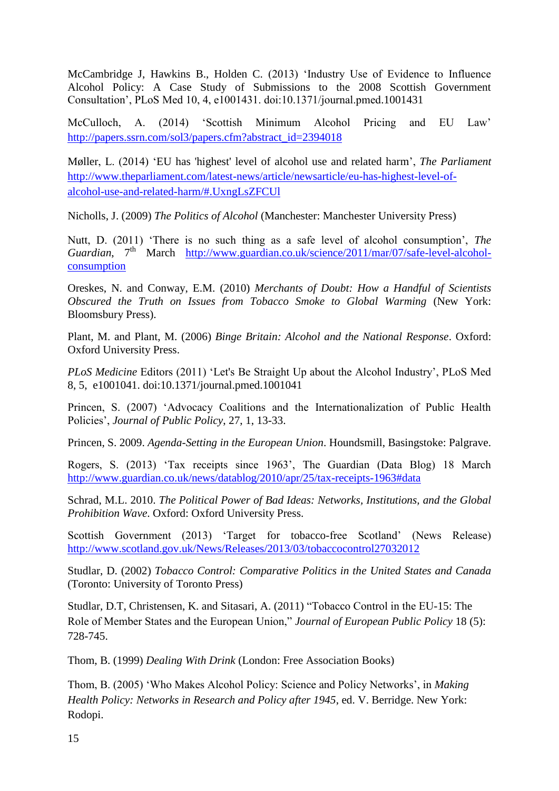McCambridge J, Hawkins B., Holden C. (2013) 'Industry Use of Evidence to Influence Alcohol Policy: A Case Study of Submissions to the 2008 Scottish Government Consultation', PLoS Med 10, 4, e1001431. doi:10.1371/journal.pmed.1001431

McCulloch, A. (2014) 'Scottish Minimum Alcohol Pricing and EU Law' [http://papers.ssrn.com/sol3/papers.cfm?abstract\\_id=2394018](http://papers.ssrn.com/sol3/papers.cfm?abstract_id=2394018)

Møller, L. (2014) 'EU has 'highest' level of alcohol use and related harm', *The Parliament* [http://www.theparliament.com/latest-news/article/newsarticle/eu-has-highest-level-of](http://www.theparliament.com/latest-news/article/newsarticle/eu-has-highest-level-of-alcohol-use-and-related-harm/#.UxngLsZFCUl)[alcohol-use-and-related-harm/#.UxngLsZFCUl](http://www.theparliament.com/latest-news/article/newsarticle/eu-has-highest-level-of-alcohol-use-and-related-harm/#.UxngLsZFCUl)

Nicholls, J. (2009) *The Politics of Alcohol* (Manchester: Manchester University Press)

Nutt, D. (2011) 'There is no such thing as a safe level of alcohol consumption', *The Guardian*, 7<sup>th</sup> March [http://www.guardian.co.uk/science/2011/mar/07/safe-level-alcohol](http://www.guardian.co.uk/science/2011/mar/07/safe-level-alcohol-consumption)[consumption](http://www.guardian.co.uk/science/2011/mar/07/safe-level-alcohol-consumption)

Oreskes, N. and Conway, E.M. (2010) *Merchants of Doubt: How a Handful of Scientists Obscured the Truth on Issues from Tobacco Smoke to Global Warming* (New York: Bloomsbury Press).

Plant, M. and Plant, M. (2006) *Binge Britain: Alcohol and the National Response*. Oxford: Oxford University Press.

*PLoS Medicine* Editors (2011) 'Let's Be Straight Up about the Alcohol Industry', PLoS Med 8, 5, e1001041. doi:10.1371/journal.pmed.1001041

Princen, S. (2007) 'Advocacy Coalitions and the Internationalization of Public Health Policies', *Journal of Public Policy*, 27, 1, 13-33.

Princen, S. 2009. *Agenda-Setting in the European Union*. Houndsmill, Basingstoke: Palgrave.

Rogers, S. (2013) 'Tax receipts since 1963', The Guardian (Data Blog) 18 March <http://www.guardian.co.uk/news/datablog/2010/apr/25/tax-receipts-1963#data>

Schrad, M.L. 2010. *The Political Power of Bad Ideas: Networks, Institutions, and the Global Prohibition Wave*. Oxford: Oxford University Press.

Scottish Government (2013) 'Target for tobacco-free Scotland' (News Release) <http://www.scotland.gov.uk/News/Releases/2013/03/tobaccocontrol27032012>

Studlar, D. (2002) *Tobacco Control: Comparative Politics in the United States and Canada*  (Toronto: University of Toronto Press)

Studlar, D.T, Christensen, K. and Sitasari, A. (2011) "Tobacco Control in the EU-15: The Role of Member States and the European Union," *Journal of European Public Policy* 18 (5): 728-745.

Thom, B. (1999) *Dealing With Drink* (London: Free Association Books)

Thom, B. (2005) 'Who Makes Alcohol Policy: Science and Policy Networks', in *Making Health Policy: Networks in Research and Policy after 1945*, ed. V. Berridge. New York: Rodopi.